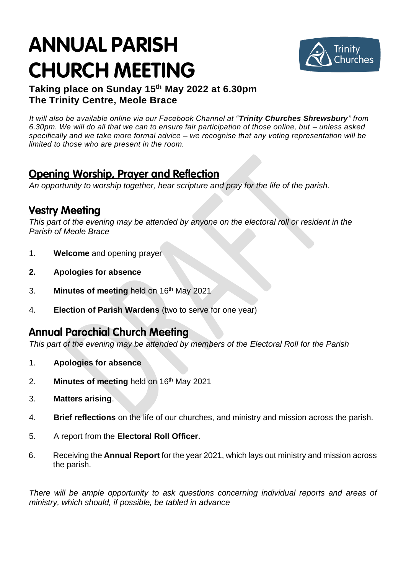# **ANNUAL PARISH CHURCH MEETING**



#### **Taking place on Sunday 15 th May 2022 at 6.30pm The Trinity Centre, Meole Brace**

*It will also be available online via our Facebook Channel at "Trinity Churches Shrewsbury" from 6.30pm. We will do all that we can to ensure fair participation of those online, but – unless asked specifically and we take more formal advice – we recognise that any voting representation will be limited to those who are present in the room.* 

## **Opening Worship, Prayer and Reflection**

*An opportunity to worship together, hear scripture and pray for the life of the parish.*

## **Vestry Meeting**

*This part of the evening may be attended by anyone on the electoral roll or resident in the Parish of Meole Brace*

- 1. **Welcome** and opening prayer
- **2. Apologies for absence**
- 3. **Minutes of meeting** held on 16 th May 2021
- 4. **Election of Parish Wardens** (two to serve for one year)

### **Annual Parochial Church Meeting**

*This part of the evening may be attended by members of the Electoral Roll for the Parish*

- 1. **Apologies for absence**
- 2. **Minutes of meeting** held on 16 th May 2021
- 3. **Matters arising**.
- 4. **Brief reflections** on the life of our churches, and ministry and mission across the parish.
- 5. A report from the **Electoral Roll Officer**.
- 6. Receiving the **Annual Report** for the year 2021, which lays out ministry and mission across the parish.

*There will be ample opportunity to ask questions concerning individual reports and areas of ministry, which should, if possible, be tabled in advance*